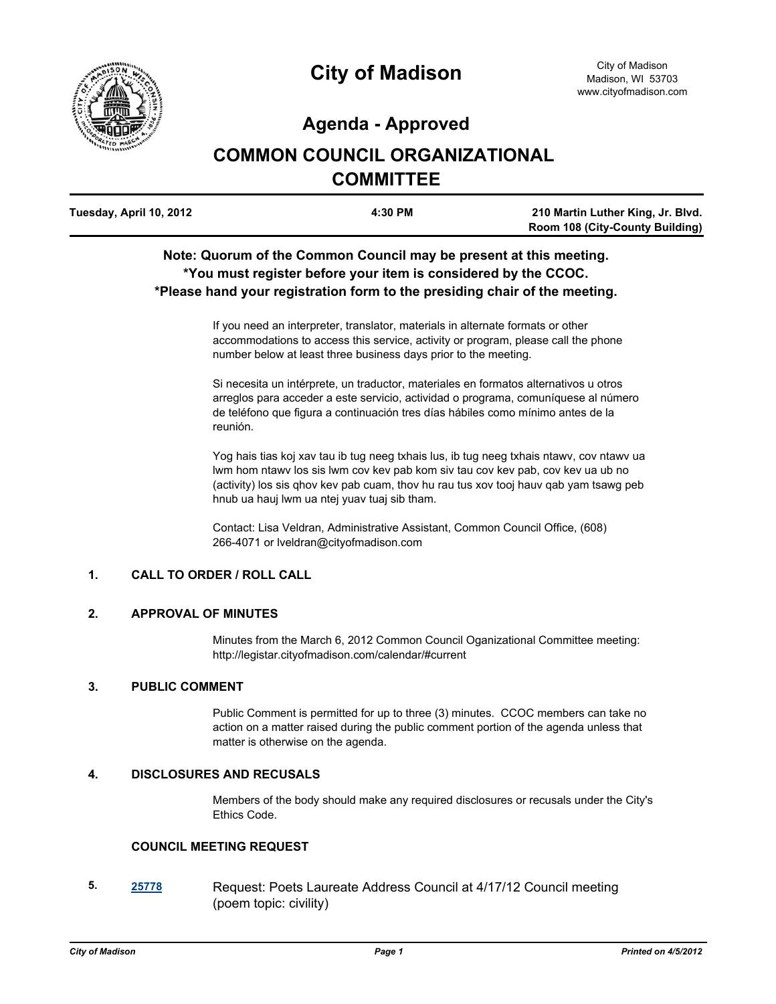

# **Agenda - Approved**

# **COMMON COUNCIL ORGANIZATIONAL COMMITTEE**

| Tuesday, April 10, 2012 | 4:30 PM | 210 Martin Luther King, Jr. Blvd.      |
|-------------------------|---------|----------------------------------------|
|                         |         | <b>Room 108 (City-County Building)</b> |

# **Note: Quorum of the Common Council may be present at this meeting. \*You must register before your item is considered by the CCOC. \*Please hand your registration form to the presiding chair of the meeting.**

If you need an interpreter, translator, materials in alternate formats or other accommodations to access this service, activity or program, please call the phone number below at least three business days prior to the meeting.

Si necesita un intérprete, un traductor, materiales en formatos alternativos u otros arreglos para acceder a este servicio, actividad o programa, comuníquese al número de teléfono que figura a continuación tres días hábiles como mínimo antes de la reunión.

Yog hais tias koj xav tau ib tug neeg txhais lus, ib tug neeg txhais ntawv, cov ntawv ua lwm hom ntawv los sis lwm cov kev pab kom siv tau cov kev pab, cov kev ua ub no (activity) los sis qhov kev pab cuam, thov hu rau tus xov tooj hauv qab yam tsawg peb hnub ua hauj lwm ua ntej yuav tuaj sib tham.

Contact: Lisa Veldran, Administrative Assistant, Common Council Office, (608) 266-4071 or lveldran@cityofmadison.com

## **1. CALL TO ORDER / ROLL CALL**

#### **2. APPROVAL OF MINUTES**

Minutes from the March 6, 2012 Common Council Oganizational Committee meeting: http://legistar.cityofmadison.com/calendar/#current

#### **3. PUBLIC COMMENT**

Public Comment is permitted for up to three (3) minutes. CCOC members can take no action on a matter raised during the public comment portion of the agenda unless that matter is otherwise on the agenda.

## **4. DISCLOSURES AND RECUSALS**

Members of the body should make any required disclosures or recusals under the City's Ethics Code.

#### **COUNCIL MEETING REQUEST**

**5. [25778](http://madison.legistar.com/gateway.aspx?M=L&ID=28372)** Request: Poets Laureate Address Council at 4/17/12 Council meeting (poem topic: civility)